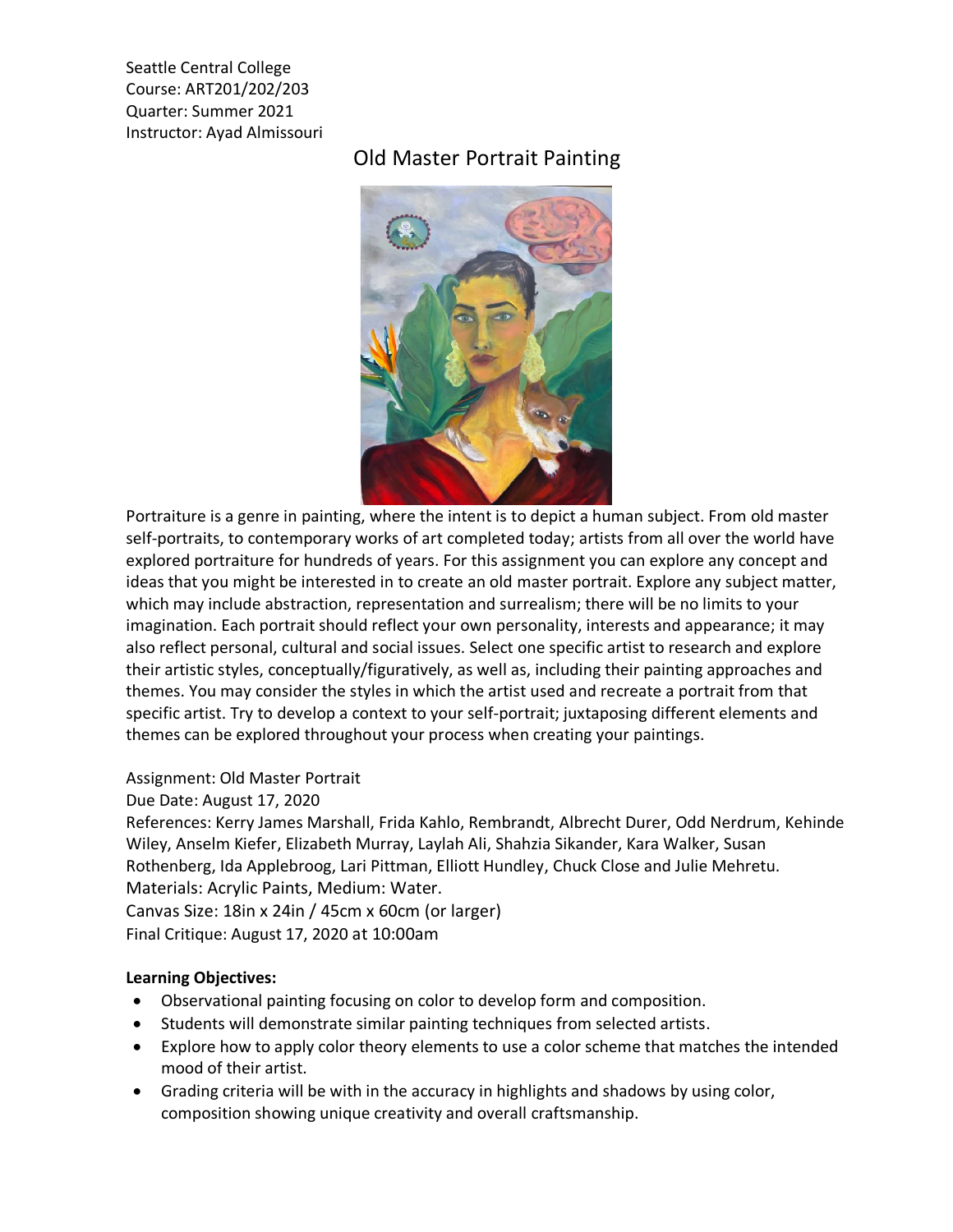Seattle Central College Course: ART201/202/203 Quarter: Summer 2021 Instructor: Ayad Almissouri

## Old Master Portrait Painting



Portraiture is a genre in painting, where the intent is to depict a human subject. From old master self-portraits, to contemporary works of art completed today; artists from all over the world have explored portraiture for hundreds of years. For this assignment you can explore any concept and ideas that you might be interested in to create an old master portrait. Explore any subject matter, which may include abstraction, representation and surrealism; there will be no limits to your imagination. Each portrait should reflect your own personality, interests and appearance; it may also reflect personal, cultural and social issues. Select one specific artist to research and explore their artistic styles, conceptually/figuratively, as well as, including their painting approaches and themes. You may consider the styles in which the artist used and recreate a portrait from that specific artist. Try to develop a context to your self-portrait; juxtaposing different elements and themes can be explored throughout your process when creating your paintings.

Assignment: Old Master Portrait

Due Date: August 17, 2020

References: Kerry James Marshall, Frida Kahlo, Rembrandt, Albrecht Durer, Odd Nerdrum, Kehinde Wiley, Anselm Kiefer, Elizabeth Murray, Laylah Ali, Shahzia Sikander, Kara Walker, Susan Rothenberg, Ida Applebroog, Lari Pittman, Elliott Hundley, Chuck Close and Julie Mehretu. Materials: Acrylic Paints, Medium: Water. Canvas Size: 18in x 24in / 45cm x 60cm (or larger)

Final Critique: August 17, 2020 at 10:00am

## **Learning Objectives:**

- Observational painting focusing on color to develop form and composition.
- Students will demonstrate similar painting techniques from selected artists.
- Explore how to apply color theory elements to use a color scheme that matches the intended mood of their artist.
- Grading criteria will be with in the accuracy in highlights and shadows by using color, composition showing unique creativity and overall craftsmanship.